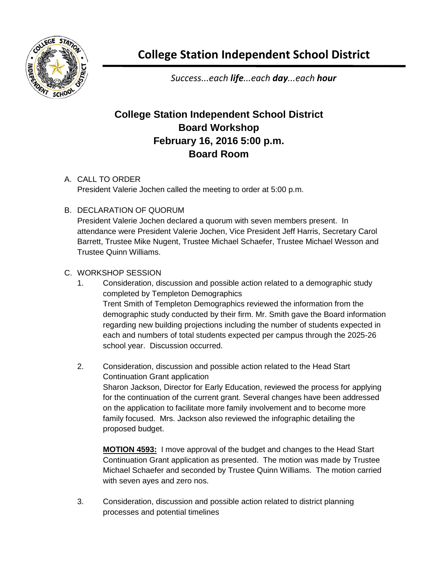

**College Station Independent School District**

*Success...each life...each day...each hour*

## **College Station Independent School District Board Workshop February 16, 2016 5:00 p.m. Board Room**

## A. CALL TO ORDER

President Valerie Jochen called the meeting to order at 5:00 p.m.

## B. DECLARATION OF QUORUM

President Valerie Jochen declared a quorum with seven members present. In attendance were President Valerie Jochen, Vice President Jeff Harris, Secretary Carol Barrett, Trustee Mike Nugent, Trustee Michael Schaefer, Trustee Michael Wesson and Trustee Quinn Williams.

## C. WORKSHOP SESSION

- 1. Consideration, discussion and possible action related to a demographic study completed by Templeton Demographics Trent Smith of Templeton Demographics reviewed the information from the demographic study conducted by their firm. Mr. Smith gave the Board information regarding new building projections including the number of students expected in each and numbers of total students expected per campus through the 2025-26 school year. Discussion occurred.
- 2. Consideration, discussion and possible action related to the Head Start Continuation Grant application Sharon Jackson, Director for Early Education, reviewed the process for applying for the continuation of the current grant. Several changes have been addressed on the application to facilitate more family involvement and to become more family focused. Mrs. Jackson also reviewed the infographic detailing the proposed budget.

**MOTION 4593:** I move approval of the budget and changes to the Head Start Continuation Grant application as presented. The motion was made by Trustee Michael Schaefer and seconded by Trustee Quinn Williams. The motion carried with seven ayes and zero nos.

3. Consideration, discussion and possible action related to district planning processes and potential timelines